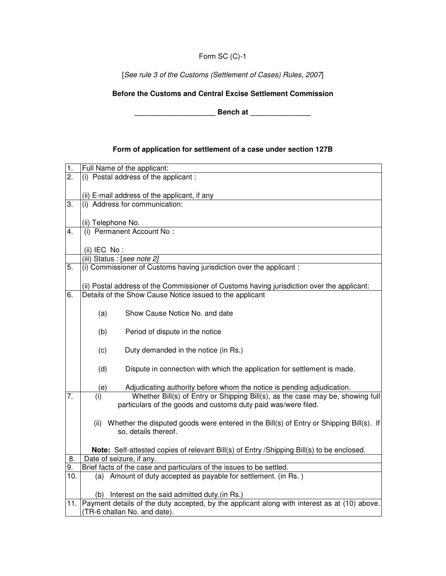## Form SC (C)-1

[See rule 3 of the Customs (Settlement of Cases) Rules, 2007]

### **Before the Customs and Central Excise Settlement Commission**

**\_\_\_\_\_\_\_\_\_\_\_\_\_\_\_\_\_\_\_\_ Bench at \_\_\_\_\_\_\_\_\_\_\_\_\_\_\_** 

# **Form of application for settlement of a case under section 127B**

| 1.               | Full Name of the applicant:                                                                      |  |  |
|------------------|--------------------------------------------------------------------------------------------------|--|--|
| $\overline{2}$ . | (i) Postal address of the applicant:                                                             |  |  |
|                  |                                                                                                  |  |  |
|                  | (ii) E-mail address of the applicant, if any                                                     |  |  |
| 3.               | (i) Address for communication:                                                                   |  |  |
|                  |                                                                                                  |  |  |
|                  | (ii) Telephone No.                                                                               |  |  |
| 4.               | (i) Permanent Account No :                                                                       |  |  |
|                  |                                                                                                  |  |  |
|                  | (ii) IEC $No:$                                                                                   |  |  |
|                  | (iii) Status : [see note 2]                                                                      |  |  |
| 5.               | (i) Commissioner of Customs having jurisdiction over the applicant :                             |  |  |
|                  |                                                                                                  |  |  |
|                  | (ii) Postal address of the Commissioner of Customs having jurisdiction over the applicant:       |  |  |
| 6.               | Details of the Show Cause Notice issued to the applicant                                         |  |  |
|                  |                                                                                                  |  |  |
|                  | Show Cause Notice No. and date<br>(a)                                                            |  |  |
|                  |                                                                                                  |  |  |
|                  | Period of dispute in the notice                                                                  |  |  |
|                  | (b)                                                                                              |  |  |
|                  |                                                                                                  |  |  |
|                  | Duty demanded in the notice (in Rs.)<br>(c)                                                      |  |  |
|                  |                                                                                                  |  |  |
|                  | (d)<br>Dispute in connection with which the application for settlement is made.                  |  |  |
|                  |                                                                                                  |  |  |
|                  | Adjudicating authority before whom the notice is pending adjudication.<br>(e)                    |  |  |
| 7.               | Whether Bill(s) of Entry or Shipping Bill(s), as the case may be, showing full<br>(i)            |  |  |
|                  | particulars of the goods and customs duty paid was/were filed.                                   |  |  |
|                  |                                                                                                  |  |  |
|                  | Whether the disputed goods were entered in the Bill(s) of Entry or Shipping Bill(s). If<br>(ii)  |  |  |
|                  | so, details thereof.                                                                             |  |  |
|                  |                                                                                                  |  |  |
|                  | Note: Self-attested copies of relevant Bill(s) of Entry / Shipping Bill(s) to be enclosed.       |  |  |
| 8.               | Date of seizure, if any.                                                                         |  |  |
| 9.               | Brief facts of the case and particulars of the issues to be settled.                             |  |  |
| 10.              | (a) Amount of duty accepted as payable for settlement. (in Rs.)                                  |  |  |
|                  |                                                                                                  |  |  |
|                  | (b) Interest on the said admitted duty.(in Rs.)                                                  |  |  |
|                  | 11. Payment details of the duty accepted, by the applicant along with interest as at (10) above. |  |  |
|                  | (TR-6 challan No. and date).                                                                     |  |  |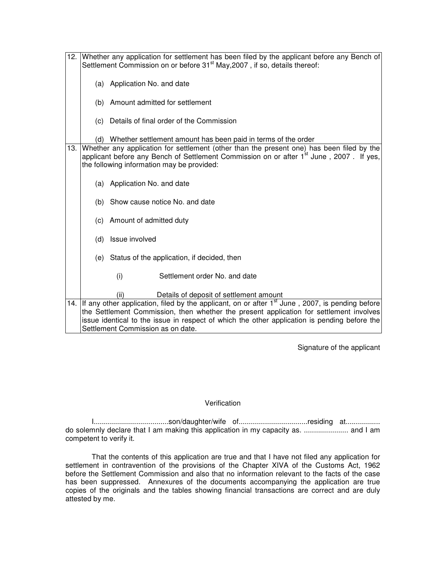| 12. | Whether any application for settlement has been filed by the applicant before any Bench of<br>Settlement Commission on or before 31 <sup>st</sup> May, 2007, if so, details thereof:                                                           |                                                                                                                                                                                                                                                                                                                                   |  |
|-----|------------------------------------------------------------------------------------------------------------------------------------------------------------------------------------------------------------------------------------------------|-----------------------------------------------------------------------------------------------------------------------------------------------------------------------------------------------------------------------------------------------------------------------------------------------------------------------------------|--|
|     |                                                                                                                                                                                                                                                | (a) Application No. and date                                                                                                                                                                                                                                                                                                      |  |
|     |                                                                                                                                                                                                                                                | (b) Amount admitted for settlement                                                                                                                                                                                                                                                                                                |  |
|     | (c)                                                                                                                                                                                                                                            | Details of final order of the Commission                                                                                                                                                                                                                                                                                          |  |
|     | (d)                                                                                                                                                                                                                                            | Whether settlement amount has been paid in terms of the order                                                                                                                                                                                                                                                                     |  |
| 13. | Whether any application for settlement (other than the present one) has been filed by the<br>applicant before any Bench of Settlement Commission on or after 1 <sup>st</sup> June, 2007. If yes,<br>the following information may be provided: |                                                                                                                                                                                                                                                                                                                                   |  |
|     |                                                                                                                                                                                                                                                | (a) Application No. and date                                                                                                                                                                                                                                                                                                      |  |
|     | (b)                                                                                                                                                                                                                                            | Show cause notice No. and date                                                                                                                                                                                                                                                                                                    |  |
|     |                                                                                                                                                                                                                                                | (c) Amount of admitted duty                                                                                                                                                                                                                                                                                                       |  |
|     | (d)                                                                                                                                                                                                                                            | Issue involved                                                                                                                                                                                                                                                                                                                    |  |
|     |                                                                                                                                                                                                                                                | (e) Status of the application, if decided, then                                                                                                                                                                                                                                                                                   |  |
|     |                                                                                                                                                                                                                                                | (i)<br>Settlement order No. and date                                                                                                                                                                                                                                                                                              |  |
|     |                                                                                                                                                                                                                                                | Details of deposit of settlement amount<br>(ii)                                                                                                                                                                                                                                                                                   |  |
| 14. |                                                                                                                                                                                                                                                | If any other application, filed by the applicant, on or after $1st$ June, 2007, is pending before<br>the Settlement Commission, then whether the present application for settlement involves<br>issue identical to the issue in respect of which the other application is pending before the<br>Settlement Commission as on date. |  |

Signature of the applicant

#### **Verification**

I.....................................son/daughter/wife of..................................residing at................. do solemnly declare that I am making this application in my capacity as. ...................... and I am competent to verify it.

That the contents of this application are true and that I have not filed any application for settlement in contravention of the provisions of the Chapter XIVA of the Customs Act, 1962 before the Settlement Commission and also that no information relevant to the facts of the case has been suppressed. Annexures of the documents accompanying the application are true copies of the originals and the tables showing financial transactions are correct and are duly attested by me.